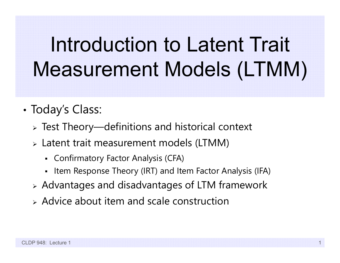# Introduction to Latent Trait Measurement Models (LTMM)

- • Today's Class:
	- Test Theory—definitions and historical context
	- Latent trait measurement models (LTMM)
		- Confirmatory Factor Analysis (CFA)
		- Item Response Theory (IRT) and Item Factor Analysis (IFA)
	- Advantages and disadvantages of LTM framework
	- $\triangleright$  Advice about item and scale construction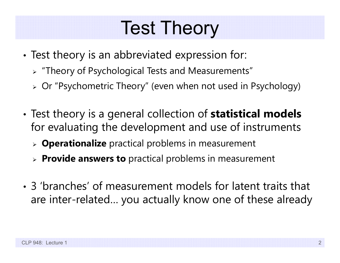#### Test Theory

- • Test theory is an abbreviated expression for:
	- "Theory of Psychological Tests and Measurements"
	- Or "Psychometric Theory" (even when not used in Psychology)
- • Test theory is a general collection of **statistical models**  for evaluating the development and use of instruments
	- **Operationalize** practical problems in measurement
	- **Provide answers to** practical problems in measurement
- 3 'branches' of measurement models for latent traits that are inter-related… you actually know one of these already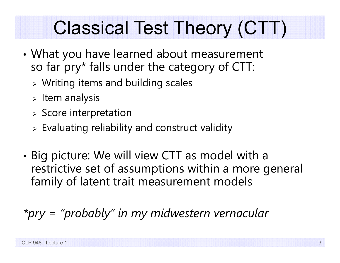## Classical Test Theory (CTT)

- • What you have learned about measurement so far pry\* falls under the category of CTT:
	- Writing items and building scales
	- $>$  Item analysis
	- $\triangleright$  Score interpretation
	- $\triangleright$  Evaluating reliability and construct validity
- • Big picture: We will view CTT as model with a restrictive set of assumptions within a more general family of latent trait measurement models

*\*pry = "probably" in my midwestern vernacular*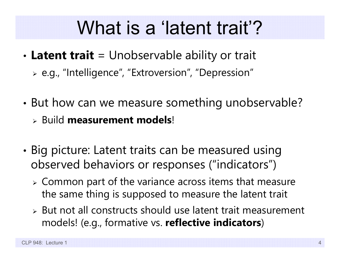#### What is a 'latent trait'?

- • **Latent trait** = Unobservable ability or trait
	- e.g., "Intelligence", "Extroversion", "Depression"
- • But how can we measure something unobservable? Build **measurement models**!
- • Big picture: Latent traits can be measured using
	- observed behaviors or responses ("indicators")
		- $\triangleright$  Common part of the variance across items that measure the same thing is supposed to measure the latent trait
		- $\triangleright$  But not all constructs should use latent trait measurement models! (e.g., formative vs. **reflective indicators**)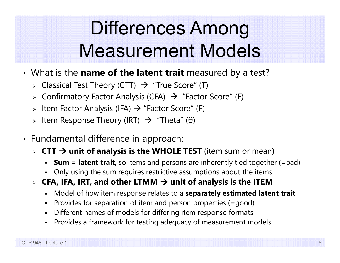## Differences Among Measurement Models

- What is the **name of the latent trait** measured by a test?
	- $\triangleright$  Classical Test Theory (CTT)  $\,\,\rightarrow\,$  "True Score" (T)
	- $\triangleright$  Confirmatory Factor Analysis (CFA)  $\,\,\rightarrow\,$  "Factor Score" (F)
	- $\triangleright$  ltem Factor Analysis (IFA)  $\rightarrow$  "Factor Score" (F)
	- > Item Response Theory (IRT)  $\,\rightarrow\,$  "Theta" (θ)
- • Fundamental difference in approach:
	- **CTT unit of analysis is the WHOLE TEST** (item sum or mean)
		- **Sum = latent trait**, so items and persons are inherently tied together (=bad)
		- Only using the sum requires restrictive assumptions about the items
	- $\triangleright$  CFA, IFA, IRT, and other LTMM  $\rightarrow$  unit of analysis is the ITEM
		- n Model of how item response relates to a **separately estimated latent trait**
		- n Provides for separation of item and person properties (=good)
		- n Different names of models for differing item response formats
		- Provides a framework for testing adequacy of measurement models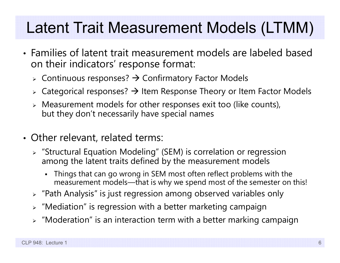#### Latent Trait Measurement Models (LTMM)

- Families of latent trait measurement models are labeled based on their indicators' response format:
	- $\triangleright$  Continuous responses?  $\rightarrow$  Confirmatory Factor Models
	- $\triangleright$  Categorical responses?  $\rightarrow$  Item Response Theory or Item Factor Models
	- $\triangleright$  Measurement models for other responses exit too (like counts), but they don't necessarily have special names
- Other relevant, related terms:
	- "Structural Equation Modeling" (SEM) is correlation or regression among the latent traits defined by the measurement models
		- Things that can go wrong in SEM most often reflect problems with the measurement models—that is why we spend most of the semester on this!
	- $\triangleright$  "Path Analysis" is just regression among observed variables only
	- $\triangleright$  "Mediation" is regression with a better marketing campaign
	- $\triangleright$  "Moderation" is an interaction term with a better marking campaign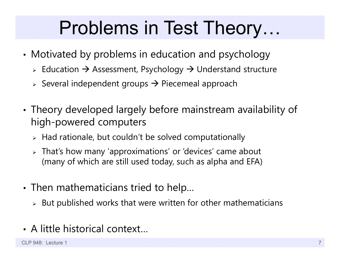#### Problems in Test Theory…

- • Motivated by problems in education and psychology
	- $\triangleright$  Education  $\rightarrow$  Assessment, Psychology  $\rightarrow$  Understand structure
	- $\triangleright$  Several independent groups  $\rightarrow$  Piecemeal approach
- • Theory developed largely before mainstream availability of high-powered computers
	- $\triangleright$  Had rationale, but couldn't be solved computationally
	- That's how many 'approximations' or 'devices' came about (many of which are still used today, such as alpha and EFA)
- • Then mathematicians tried to help…
	- $\triangleright$  But published works that were written for other mathematicians
- A little historical context…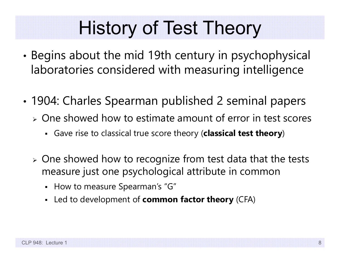#### History of Test Theory

- • Begins about the mid 19th century in psychophysical laboratories considered with measuring intelligence
- • 1904: Charles Spearman published 2 seminal papers
	- $\triangleright$  One showed how to estimate amount of error in test scores
		- Gave rise to classical true score theory (**classical test theory**)
	- $\triangleright$  One showed how to recognize from test data that the tests measure just one psychological attribute in common
		- How to measure Spearman's "G"
		- Led to development of **common factor theory** (CFA)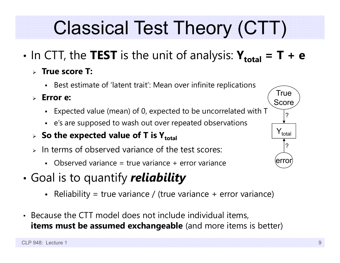## Classical Test Theory (CTT)

- • $\cdot$  In CTT, the TEST is the unit of analysis:  $\mathbf{Y_{total}} = \mathbf{T} + \mathbf{e}$ 
	- **True score T:**
		- Best estimate of 'latent trait': Mean over infinite replication s
	- **Error e:**
		- Expected value (mean) of 0, expected to be uncorrelated with T
		- <sup>e</sup>'s are supposed to wash out over repeated observations
	- **> So the expected value of T is Y** $_{\rm total}$
	- $\triangleright$  In terms of observed variance of the test scores:
		- Observed variance = true variance + error variance
- • Goal is to quantify *reliability*
	- Reliability = true variance / (true variance + error variance)
- Because the CTT model does not include individual items, **items must be assumed exchangeable** (and more items is better)

 $\mathsf{Y}_{\mathsf{total}}$ 

?

error

**True** 

Score

?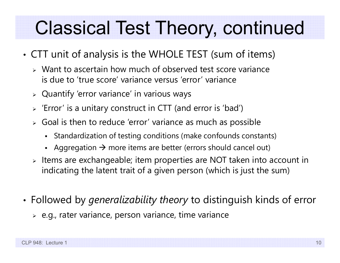#### Classical Test Theory, continued

- • CTT unit of analysis is the WHOLE TEST (sum of items)
	- Want to ascertain how much of observed test score variance is due to 'true score' variance versus 'error' variance
	- $\triangleright$  Quantify 'error variance' in various ways
	- $\triangleright$  'Error' is a unitary construct in CTT (and error is 'bad')
	- $\triangleright$  Goal is then to reduce 'error' variance as much as possible
		- $\blacksquare$ Standardization of testing conditions (make confounds constants)
		- Aggregation  $\rightarrow$  more items are better (errors should cancel out)
	- $\triangleright$  Items are exchangeable; item properties are NOT taken into account in indicating the latent trait of a given person (which is just the sum)
- • Followed by *generalizability theory* to distinguish kinds of error
	- $\triangleright$  e.g., rater variance, person variance, time variance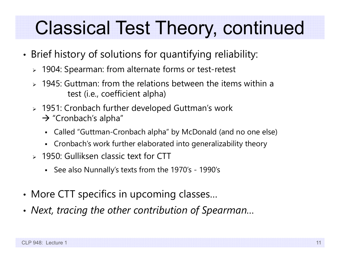#### Classical Test Theory, continued

- • Brief history of solutions for quantifying reliability:
	- 1904: Spearman: from alternate forms or test-retest
	- $\geq 1945$ : Guttman: from the relations between the items within a test (i.e., coefficient alpha)
	- 1951: Cronbach further developed Guttman's work  $\rightarrow$  "Cronbach's alpha"
		- $\blacksquare$ Called "Guttman-Cronbach alpha" by McDonald (and no one else)
		- Cronbach's work further elaborated into generalizability theory
	- 1950: Gulliksen classic text for CTT
		- See also Nunnally's texts from the 1970's 1990's
- •• More CTT specifics in upcoming classes...
- •*Next, tracing the other contribution of Spearman…*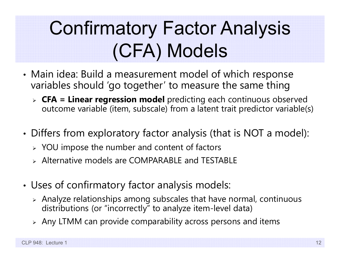## Confirmatory Factor Analysis (CFA) Models

- • Main idea: Build a measurement model of which response variables should 'go together' to measure the same thing
	- **CFA = Linear regression model** predicting each continuous observed outcome variable (item, subscale) from a latent trait predictor variable(s)
- • Differs from exploratory factor analysis (that is NOT a model):
	- $\triangleright$  YOU impose the number and content of factors
	- Alternative models are COMPARABLE and TESTABLE
- • Uses of confirmatory factor analysis models:
	- $\triangleright$  Analyze relationships among subscales that have normal, continuous distributions (or "incorrectly" to analyze item-level data)
	- $\triangleright$  Any LTMM can provide comparability across persons and items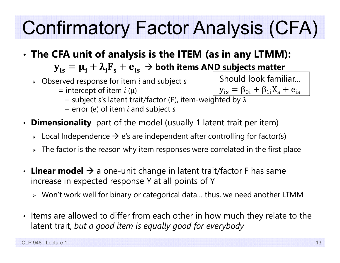# Confirmatory Factor Analysis (CFA)

- • **The CFA unit of analysis is the ITEM (as in any LTMM):**  ${\bf y}_{\rm is}={\bf \mu}_{\rm i}+{\bf \lambda}_{\rm i}{\bf F}_{\rm s}+{\bf e}_{\rm is} \, \to$  both items AN<u>D subjects matter</u>
	- Observed response for item *i* and subject *s*
		- = intercept of item *i* (μ)
- + subject *<sup>s</sup>*'s latent trait/factor ( <sup>F</sup>), item-weighted by λ  $y_{is} = \beta_{0i} + \beta_{1i}X_s + e_{is}$ 
	- + error ( <sup>e</sup>) of item *i* and subject *s*
- •**Dimensionality** part of the model (usually 1 latent trait per item)
	- $\triangleright$  Local Independence  $\rightarrow$  e's are independent after controlling for factor(s)
	- $\triangleright\;$  The factor is the reason why item responses were correlated in the first place
- $\boldsymbol{\cdot}$  Linear model  $\boldsymbol{\rightarrow}$  a one-unit change in latent trait/factor F has same increase in expected response Y at all points of Y
	- Won't work well for binary or categorical data… thus, we need another LTMM
- Items are allowed to differ from each other in how much they relate to the latent trait, *but a good item is equally good for everybody*

Should look familiar…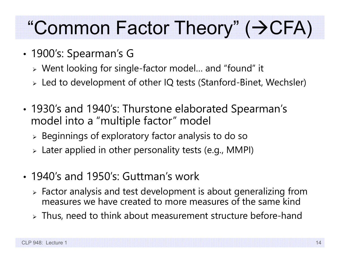#### "Common Factor Theory" (→CFA)

- • 1900's: Spearman's G
	- Went looking for single-factor model… and "found" it
	- Led to development of other IQ tests (Stanford-Binet, Wechsler)
- • 1930's and 1940's: Thurstone elaborated Spearman's model into a "multiple factor" model
	- $\triangleright$  Beginnings of exploratory factor analysis to do so
	- Later applied in other personality tests (e.g., MMPI)
- 1940's and 1950's: Guttman's work
	- $\triangleright$  Factor analysis and test development is about generalizing from measures we have created to more measures of the same kind
	- $\triangleright$  Thus, need to think about measurement structure before-hand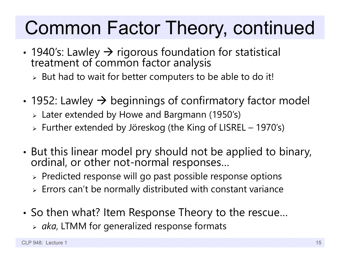#### Common Factor Theory, continued

- •• 1940's: Lawley → rigorous foundation for statistical treatment of common factor analysis
	- $\triangleright$  But had to wait for better computers to be able to do it!
- • $\bm{\cdot}$  1952: Lawley  $\bm{\rightarrow}$  beginnings of confirmatory factor model
	- Later extended by Howe and Bargmann (1950's)
	- Further extended by Jöreskog (the King of LISREL 1970's)
- •• But this linear model pry should not be applied to binary,<br>ordinal, or other not-normal responses…
	- $\triangleright$  Predicted response will go past possible response options
	- $\triangleright$  Errors can't be normally distributed with constant variance
- • So then what? Item Response Theory to the rescue…
	- *aka*, LTMM for generalized response formats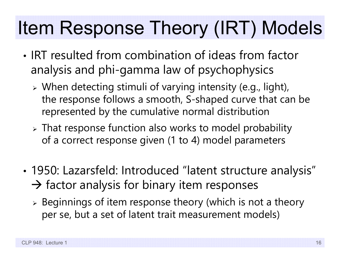#### Item Response Theory (IRT) Models

- IRT resulted from combination of ideas from factor analysis and phi-gamma law of psychophysics
	- When detecting stimuli of varying intensity (e.g., light), the response follows a smooth, S-shaped curve that can be represented by the cumulative normal distribution
	- That response function also works to model probability of a correct response given (1 to 4) model parameters
- • 1950: Lazarsfeld: Introduced "latent structure analysis"  $\rightarrow$  factor analysis for binary item responses
	- $\triangleright$  Beginnings of item response theory (which is not a theory per se, but a set of latent trait measurement models)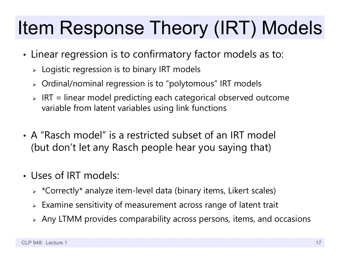#### Item Response Theory (IRT) Models

- • Linear regression is to confirmatory factor models as to:
	- $\triangleright\;$  Logistic regression is to binary IRT models
	- $\triangleright$   $\,$  Ordinal/nominal regression is to "polytomous" IRT models
	- $\triangleright$  <code>IRT</code> = linear model predicting each categorical observed outcome variable from latent variables using link functions
- A "Rasch model" is a restricted subset of an IRT model (but don't let any Rasch people hear you saying that)
- Uses of IRT models:
	- $\triangleright$   $\,$  \*Correctly\* analyze item-level data (binary items, Likert scales)
	- $\triangleright$  Examine sensitivity of measurement across range of latent trait
	- $\triangleright$  Any LTMM provides comparability across persons, items, and occasions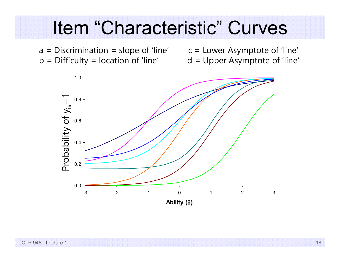#### Item "Characteristic" Curves

 $a = Discription = slope of 'line'$   $c = Lower Asymptote of 'line'$  $b =$  Difficulty = location of 'line'  $d =$  Upper Asymptote of 'line'

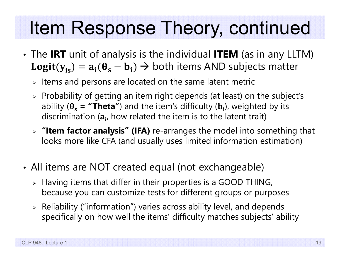#### Item Response Theory, continued

- The **IRT** unit of analysis is the individual **ITEM** (as in any LLTM)  $\texttt{Logit}(y_{is}) = a_i(\theta_s - b_i) \Rightarrow$  both items AND subjects matter
	- $\triangleright$  Items and persons are located on the same latent metric
	- $\triangleright$  Probability of getting an item right depends (at least) on the subject's ability ( $\theta_s$  = **"Theta"**) and the item's difficulty ( $\mathbf{b}_i$ ), weighted by its discrimination ( $\mathbf{a}_{\mathbf{i}'}$  how related the item is to the latent trait)
	- **"Item factor analysis" (IFA)** re-arranges the model into something that looks more like CFA (and usually uses limited information estimation)
- • All items are NOT created equal (not exchangeable)
	- $\triangleright$  Having items that differ in their properties is a GOOD THING, because you can customize tests for different groups or purpose s
	- $\triangleright$  Reliability ("information") varies across ability level, and depends specifically on how well the items' difficulty matches subjects' ability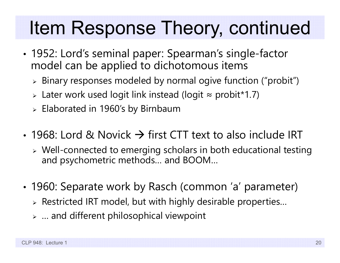#### Item Response Theory, continued

- • 1952: Lord's seminal paper: Spearman's single-factor model can be applied to dichotomous items
	- $\triangleright$  Binary responses modeled by normal ogive function ("probit")
	- Later work used logit link instead (logit ≈ probit\*1.7)
	- $\triangleright$  Elaborated in 1960's by Birnbaum
- 1968: Lord & Novick  $\rightarrow$  first CTT text to also include IRT
	- $\triangleright$  Well-connected to emerging scholars in both educational testing and psychometric methods… and BOOM…
- • 1960: Separate work by Rasch (common 'a' parameter)
	- $\triangleright$  Restricted IRT model, but with highly desirable properties...
	- $\triangleright$  … and different philosophical viewpoint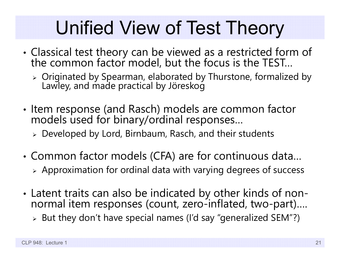#### Unified View of Test Theory

- • Classical test theory can be viewed as a restricted form of the common factor model, but the focus is the TEST…
	- Originated by Spearman, elaborated by Thurstone, formalized by Lawley, and made practical by Jöreskog
- • Item response (and Rasch) models are common factor models used for binary/ordinal responses…
	- Developed by Lord, Birnbaum, Rasch, and their students
- • Common factor models (CFA) are for continuous data… Approximation for ordinal data with varying degrees of success
- Latent traits can also be indicated by other kinds of nonnormal item responses (count, zero-inflated, two-part)....
	- $\triangleright$  But they don't have special names (I'd say "generalized SEM"?)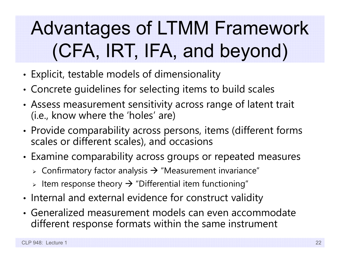## Advantages of LTMM Framework (CFA, IRT, IFA, and beyond)

- •Explicit, testable models of dimensionality
- •Concrete guidelines for selecting items to build scales
- • Assess measurement sensitivity across range of latent trait (i.e., know where the 'holes' are)
- •• Provide comparability across persons, items (different forms scales or different scales), and occasions
- • Examine comparability across groups or repeated measures
	- $\triangleright$  Confirmatory factor analysis  $\rightarrow$  "Measurement invariance"
	- $\triangleright$  Item response theory  $\rightarrow$  "Differential item functioning"
- •• Internal and external evidence for construct validity
- Generalized measurement models can even accommodate different response formats within the same instrument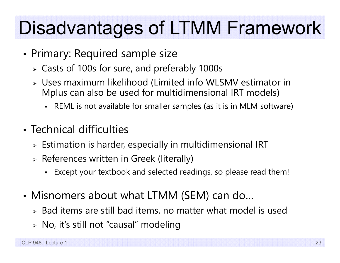#### Disadvantages of LTMM Framework

- •• Primary: Required sample size
	- Casts of 100s for sure, and preferably 1000s
	- Uses maximum likelihood (Limited info WLSMV estimator in Mplus can also be used for multidimensional IRT models)
		- REML is not available for smaller samples (as it is in MLM software)
- Technical difficulties
	- $\triangleright$  Estimation is harder, especially in multidimensional IRT
	- $\triangleright$  References written in Greek (literally)
		- Except your textbook and selected readings, so please read them!
- • Misnomers about what LTMM (SEM) can do…
	- $\triangleright$  Bad items are still bad items, no matter what model is used
	- No, it's still not "causal" modeling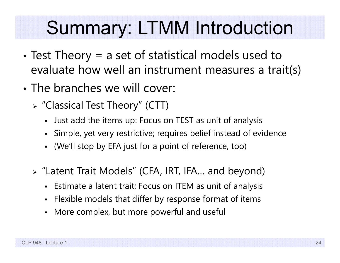#### Summary: LTMM Introduction

- • Test Theory = a set of statistical models used to evaluate how well an instrument measures a trait(s)
- The branches we will cover:
	- "Classical Test Theory" (CTT)
		- Just add the items up: Focus on TEST as unit of analysis
		- Simple, yet very restrictive; requires belief instead of evidence
		- (We'll stop by EFA just for a point of reference, too)
	- "Latent Trait Models" (CFA, IRT, IFA… and beyond)
		- Estimate a latent trait; Focus on ITEM as unit of analysis
		- Flexible models that differ by response format of items
		- More complex, but more powerful and useful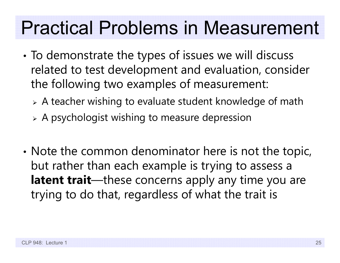#### Practical Problems in Measurement

- • To demonstrate the types of issues we will discuss related to test development and evaluation, consider the following two examples of measurement:
	- A teacher wishing to evaluate student knowledge of math
	- A psychologist wishing to measure depression
- •• Note the common denominator here is not the topic, but rather than each example is trying to assess a **latent trait**—these concerns apply any time you are trying to do that, regardless of what the trait is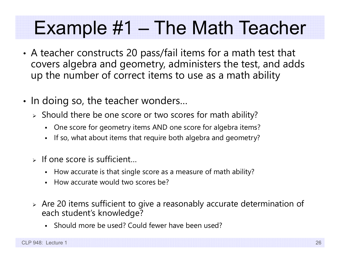#### Example #1 – The Math Teacher

- • A teacher constructs 20 pass/fail items for a math test that covers algebra and geometry, administers the test, and adds up the number of correct items to use as a math ability
- •• In doing so, the teacher wonders...
	- $\triangleright$  Should there be one score or two scores for math ability?
		- n One score for geometry items AND one score for algebra items?
		- n If so, what about items that require both algebra and geometry?
	- $\triangleright$  If one score is sufficient...
		- How accurate is that single score as a measure of math ability?
		- n How accurate would two scores be?
	- $\triangleright$  Are 20 items sufficient to give a reasonably accurate determination of each student's knowledge?
		- n Should more be used? Could fewer have been used?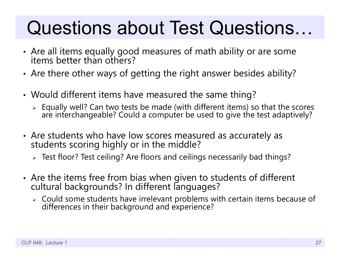#### Questions about Test Questions…

- •Are all items equally good measures of math ability or are some items better than others?
- •Are there other ways of getting the right answer besides ability?
- • Would different items have measured the same thing?
	- Equally well? Can two tests be made (with different items) so that the scores are interchangeable? Could a computer be used to give the test adaptively?
- •• Are students who have low scores measured as accurately as students scoring highly or in the middle?
	- Test floor? Test ceiling? Are floors and ceilings necessarily bad things?
- •• Are the items free from bias when given to students of different cultural backgrounds? In different languages?
	- Could some students have irrelevant problems with certain items because of differences in their background and experience?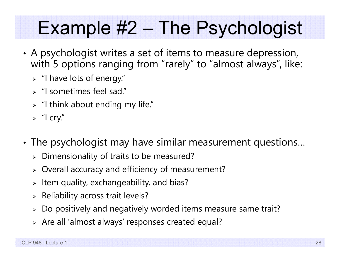#### Example #2 – The Psychologist

- • A psychologist writes a set of items to measure depression, with 5 options ranging from "rarely" to "almost always", like:
	- $\triangleright$  "I have lots of energy."
	- "I sometimes feel sad."
	- $\triangleright$   $\,$  "I think about ending my life."
	- $\triangleright$  "I cry."
- • The psychologist may have similar measurement questions…
	- $\triangleright$  Dimensionality of traits to be measured?
	- Overall accuracy and efficiency of measurement?
	- $\triangleright$  Item quality, exchangeability, and bias?
	- $\triangleright$  Reliability across trait levels?
	- $\triangleright$  Do positively and negatively worded items measure same trait?
	- Are all 'almost always' responses created equal?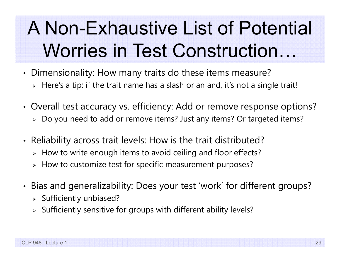#### A Non-Exhaustive List of Potential Worries in Test Construction…

- • Dimensionality: How many traits do these items measure?
	- $\triangleright\;$  Here's a tip: if the trait name has a slash or an and, it's not a single trait!
- • Overall test accuracy vs. efficiency: Add or remove response options?
	- Do you need to add or remove items? Just any items? Or targeted items?
- • Reliability across trait levels: How is the trait distributed?
	- $\triangleright\;$  How to write enough items to avoid ceiling and floor effects?
	- $\triangleright\;$  How to customize test for specific measurement purposes?
- • Bias and generalizability: Does your test 'work' for different groups?
	- $\triangleright$  Sufficiently unbiased?
	- $\triangleright$  Sufficiently sensitive for groups with different ability levels?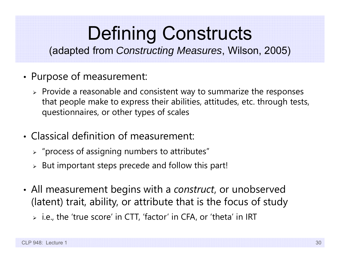#### Defining Constructs

(adapted from *Constructing Measures*, Wilson, 2005)

- • Purpose of measurement:
	- $\triangleright$  Provide a reasonable and consistent way to summarize the responses that people make to express their abilities, attitudes, etc. through tests, questionnaires, or other types of scales
- Classical definition of measurement:
	- $\triangleright$  "process of assigning numbers to attributes"
	- $\triangleright$  But important steps precede and follow this part!
- • All measurement begins with a *construct*, or unobserved (latent) trait, ability, or attribute that is the focus of study
	- i.e., the 'true score' in CTT, 'factor' in CFA, or 'theta' in IRT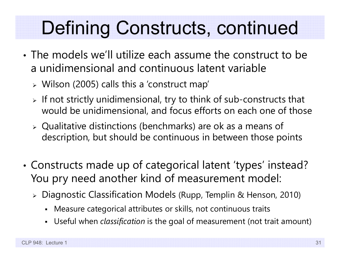#### Defining Constructs, continued

- The models we'll utilize each assume the construct to be a unidimensional and continuous latent variable
	- Wilson (2005) calls this a 'construct map'
	- $\triangleright$  If not strictly unidimensional, try to think of sub-constructs that would be unidimensional, and focus efforts on each one of those
	- Qualitative distinctions (benchmarks) are ok as a means of description, but should be continuous in between those points
- • Constructs made up of categorical latent 'types' instead? You pry need another kind of measurement model:
	- Diagnostic Classification Models (Rupp, Templin & Henson, 2010)
		- Measure categorical attributes or skills, not continuous traits
		- Г Useful when *classification* is the goal of measurement (not trait amount)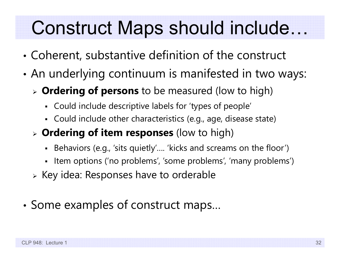#### Construct Maps should include…

- •Coherent, substantive definition of the construct
- • An underlying continuum is manifested in two ways:
	- **Ordering of persons** to be measured (low to high)
		- Could include descriptive labels for 'types of people'
		- Could include other characteristics (e.g., age, disease state)
	- **Ordering of item responses** (low to high)
		- Behaviors (e.g., 'sits quietly'…. 'kicks and screams on the floor')
		- Item options ('no problems', 'some problems', 'many problems')
	- $\triangleright$  Key idea: Responses have to orderable
- •• Some examples of construct maps...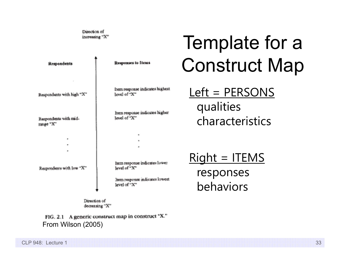Direction of increasing "X"

| <b>Respondents</b>                                              | Responses to Items                                                                                | Const                            |
|-----------------------------------------------------------------|---------------------------------------------------------------------------------------------------|----------------------------------|
| Respondents with high "X"<br>Respondents with mid-<br>range "X" | Item response indicates highest<br>level of "X"<br>Item response indicates higher<br>level of "X" | $Left = P$<br>qualitie<br>charac |
| ٠<br>Respondents with low "X"                                   | Item response indicates lower<br>level of "X"<br>hem response indicates lowest<br>level of "X"    | $Right =$<br>respon<br>behavi    |

Direction of decreasing "X"

FIG. 2.1 A generic construct map in construct "X." From Wilson (2005)

#### Template for a ruct Map

Left = PERSONS es teristics

**ITEMS nses** behaviors

CLP 948: Lecture 1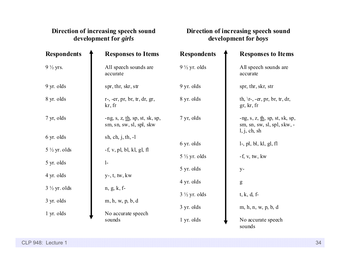#### **Direction of increasing speech sound development for** *girls*

#### **Direction of increasing speech sound development for** *boys*

| <b>Respondents</b>      | <b>Responses to Items</b>                                                 | <b>Respondents</b>      | <b>Responses to Items</b>                                                                           |
|-------------------------|---------------------------------------------------------------------------|-------------------------|-----------------------------------------------------------------------------------------------------|
| $9\frac{1}{2}$ yrs.     | All speech sounds are<br>accurate                                         | $9\frac{1}{2}$ yr. olds | All speech sounds are<br>accurate                                                                   |
| 9 yr. olds              | spr, thr, skr, str                                                        | 9 yr. olds              | spr, thr, skr, str                                                                                  |
| 8 yr. olds              | $r$ -, -er, pr, br, tr, dr, gr,<br>kr, fr                                 | 8 yr. olds              | th, $\forall$ r-, -er, pr, br, tr, dr,<br>gr, kr, fr                                                |
| 7 yr, olds              | -ng, s, z, $\underline{th}$ , sp, st, sk, sp,<br>sm, sn, sw, sl, spl, skw | 7 yr, olds              | -ng, s, z, $\underline{\text{th}}$ , sp, st, sk, sp,<br>sm, sn, sw, sl, spl, skw, -<br>l, j, ch, sh |
| 6 yr. olds              | sh, ch, j, th, $-1$                                                       |                         |                                                                                                     |
| $5\frac{1}{2}$ yr. olds |                                                                           | 6 yr. olds              | $l$ -, pl, bl, kl, gl, fl                                                                           |
|                         | $-f, v, pl, bl, kl, gl, fl$                                               | $5\frac{1}{2}$ yr. olds | $-f, v, tw, kw$                                                                                     |
| 5 yr. olds              | $1-$                                                                      |                         |                                                                                                     |
| 4 yr. olds              | $y$ -, $t$ , $tw$ , $kw$                                                  | 5 yr. olds              | $y -$                                                                                               |
|                         |                                                                           | 4 yr. olds              | g                                                                                                   |
| $3\frac{1}{2}$ yr. olds | $n, g, k, f$ -                                                            | $3\frac{1}{2}$ yr. olds | $t, k, d, f$ -                                                                                      |
| 3 yr. olds              | m, h, w, p, b, d                                                          |                         |                                                                                                     |
|                         |                                                                           | 3 yr. olds              | m, h, n, w, p, b, d                                                                                 |
| 1 yr. olds              | No accurate speech<br>sounds                                              | 1 yr. olds              | No accurate speech                                                                                  |
|                         |                                                                           |                         | sounds                                                                                              |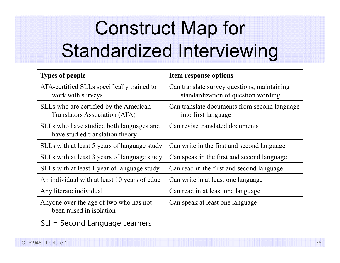# Construct Map for Standardized Interviewing

| <b>Types of people</b>                                                      | Item response options                                                              |  |
|-----------------------------------------------------------------------------|------------------------------------------------------------------------------------|--|
| ATA-certified SLLs specifically trained to<br>work with surveys             | Can translate survey questions, maintaining<br>standardization of question wording |  |
| SLLs who are certified by the American<br>Translators Association (ATA)     | Can translate documents from second language<br>into first language                |  |
| SLLs who have studied both languages and<br>have studied translation theory | Can revise translated documents                                                    |  |
| SLLs with at least 5 years of language study                                | Can write in the first and second language                                         |  |
| SLLs with at least 3 years of language study                                | Can speak in the first and second language                                         |  |
| SLLs with at least 1 year of language study                                 | Can read in the first and second language                                          |  |
| An individual with at least 10 years of educ                                | Can write in at least one language                                                 |  |
| Any literate individual                                                     | Can read in at least one language                                                  |  |
| Anyone over the age of two who has not<br>been raised in isolation          | Can speak at least one language                                                    |  |

SLI = Second Language Learners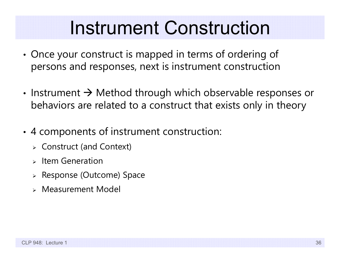#### Instrument Construction

- • Once your construct is mapped in terms of ordering of persons and responses, next is instrument construction
- Instrument  $\rightarrow$  Method through which observable responses or behaviors are related to a construct that exists only in theory
- • 4 components of instrument construction:
	- Construct (and Context)
	- $\triangleright$  Item Generation
	- Response (Outcome) Space
	- Measurement Model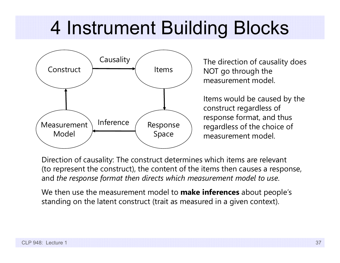#### 4 Instrument Building Blocks



NOT go through the measurement model.

Items would be caused by the construct regardless of response format, and thus regardless of the choice of measurement model.

Direction of causality: The construct determines which items are relevant (to represent the construct), the content of the items then causes a response, and *the response format then directs which measurement model to use*.

We then use the measurement model to **make inferences** about people's standing on the latent construct (trait as measured in a given context).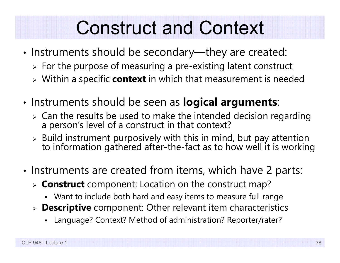#### Construct and Context

- •• Instruments should be secondary—they are created:
	- $\triangleright$  For the purpose of measuring a pre-existing latent construct
	- Within a specific **context** in which that measurement is needed
- •**• Instruments should be seen as logical arguments**:
	- $\triangleright$  Can the results be used to make the intended decision regarding a person's level of a construct in that context?
	- $\triangleright$  Build instrument purposively with this in mind, but pay attention to information gathered after-the-fact as to how well it is working
- •• Instruments are created from items, which have 2 parts:
	- **Construct** component: Location on the construct map?
		- Want to include both hard and easy items to measure full range
	- **Descriptive** component: Other relevant item characteristics
		- Language? Context? Method of administration? Reporter/rater?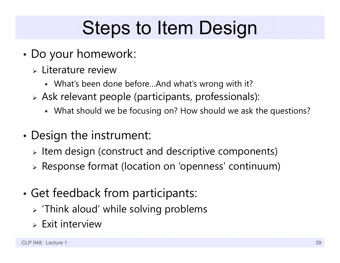### Steps to Item Design

- • Do your homework:
	- Literature review
		- What's been done before…And what's wrong with it?
	- Ask relevant people (participants, professionals):
		- What should we be focusing on? How should we ask the questions?
- • Design the instrument:
	- $\triangleright$  Item design (construct and descriptive components)
	- Response format (location on 'openness' continuum)
- • Get feedback from participants:
	- $\triangleright$  'Think aloud' while solving problems
	- $\triangleright$  Exit interview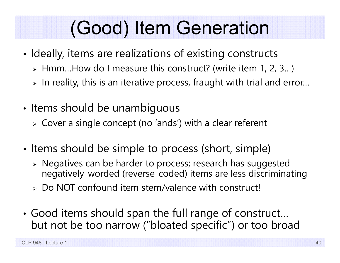## (Good) Item Generation

- • $\bm{\cdot}$  Ideally, items are realizations of existing constructs
	- Hmm…How do I measure this construct? (write item 1, 2, 3…)
	- $\triangleright$  In reality, this is an iterative process, fraught with trial and error...
- •• Items should be unambiguous
	- Cover a single concept (no 'ands') with a clear referent
- •• Items should be simple to process (short, simple)
	- Negatives can be harder to process; research has suggested negatively-worded (reverse-coded) items are less discriminating
	- Do NOT confound item stem/valence with construct!
- • Good items should span the full range of construct… but not be too narrow ("bloated specific") or too broad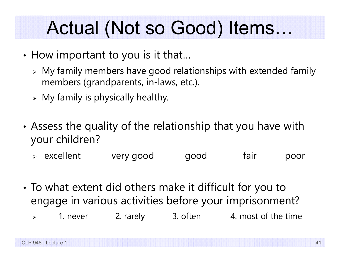#### Actual (Not so Good) Items…

- • $\bm{\cdot}$  How important to you is it that...
	- My family members have good relationships with extended family members (grandparents, in-laws, etc.).
	- $\triangleright$  My family is physically healthy.
- • Assess the quality of the relationship that you have with your children?
	- excellent very good good fair poor
- • To what extent did others make it difficult for you to engage in various activities before your imprisonment?
	- $\triangleright\ \_\_\_$ 1. never  $\ \_\_\_2$ . rarely  $\ \_\_\_3$ . often  $\ \_\_\_4$ . most of the time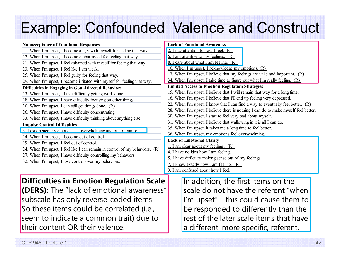#### Example: Confounded Valence and Construct

| <b>Nonacceptance of Emotional Responses</b>                                    | <b>Lack of Emotional Awareness</b>                                                           |  |  |
|--------------------------------------------------------------------------------|----------------------------------------------------------------------------------------------|--|--|
| 11. When I'm upset, I become angry with myself for feeling that way.           | 2. I pay attention to how I feel. $(R)$                                                      |  |  |
| 12. When I'm upset, I become embarrassed for feeling that way.                 | 6. I am attentive to my feelings. $(R)$                                                      |  |  |
| 21. When I'm upset, I feel ashamed with myself for feeling that way.           | <u>8. I care about what I am feeling. (R)</u>                                                |  |  |
| 23. When I'm upset, I feel like I am weak.                                     | 10. When I'm upset, I acknowledge my emotions. (R)                                           |  |  |
| 25. When I'm upset, I feel guilty for feeling that way.                        | 17. When I'm upset, I believe that my feelings are valid and important. $(R)$                |  |  |
| 29. When I'm upset, I become irritated with myself for feeling that way.       | 34. When I'm upset, I take time to figure out what I'm really feeling. (R)                   |  |  |
| Difficulties in Engaging in Goal-Directed Behaviors                            | <b>Limited Access to Emotion Regulation Strategies</b>                                       |  |  |
| 13. When I'm upset, I have difficulty getting work done.                       | 15. When I'm upset, I believe that I will remain that way for a long time.                   |  |  |
| 18. When I'm upset, I have difficulty focusing on other things.                | 16. When I'm upset, I believe that I'll end up feeling very depressed.                       |  |  |
| 20. When I'm upset, I can still get things done. (R)                           | 22. When I'm upset, I know that I can find a way to eventually feel better. $(R)$            |  |  |
| 26. When I'm upset, I have difficulty concentrating.                           | 28. When I'm upset, I believe there is nothing I can do to make myself feel better.          |  |  |
| 33. When I'm upset, I have difficulty thinking about anything else.            | 30. When I'm upset, I start to feel very bad about myself.                                   |  |  |
| <b>Impulse Control Difficulties</b>                                            | 31. When I'm upset, I believe that wallowing in it is all I can do.                          |  |  |
| 3. I experience my emotions as overwhelming and out of control.                | 35. When I'm upset, it takes me a long time to feel better.                                  |  |  |
| 14. When I'm upset, I become out of control.                                   | 36. When I'm upset, my emotions feel overwhelming.                                           |  |  |
| 19. When I'm upset, I feel out of control.                                     | <b>Lack of Emotional Clarity</b>                                                             |  |  |
| 24. When I'm upset, I feel like I can remain in control of my behaviors. $(R)$ | 1. I am clear about my feelings. $(R)$                                                       |  |  |
| 27. When I'm upset, I have difficulty controlling my behaviors.                | 4. I have no idea how I am feeling.<br>5. I have difficulty making sense out of my feelings. |  |  |
|                                                                                |                                                                                              |  |  |
| 32. When I'm upset, I lose control over my behaviors.                          | 7. I know exactly how I am feeling. (R)                                                      |  |  |
|                                                                                | 9. I am confused about how I feel.                                                           |  |  |
|                                                                                |                                                                                              |  |  |
| <b>Difficulties in Emotion Regulation Scale</b>                                | In addition, the first items on the                                                          |  |  |

**(DERS):** The "lack of emotional awareness" subscale has only reverse-coded items. So these items could be correlated (i.e., seem to indicate a common trait) due to their content OR their valence.

In addition, the first items on the scale do not have the referent "when I'm upset"—this could cause them to be responded to differently than the rest of the later scale items that have a different, more specific, referent.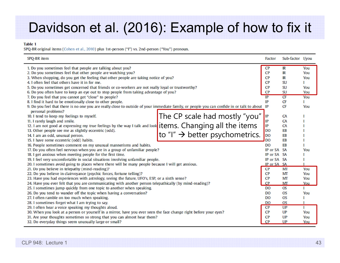#### Davidson et al. (2016): Example of how to fix it

#### **Table 1**

SPQ-BR original items (Cohen et al., 2010) plus 1st-person ("I") vs. 2nd-person ("You") pronoun.

| SPQ-BR item                                                                                                                                                                                                                                                                                                                                                                                                                                                                                                                 |                                                                                                              | Factor                                               | Sub-factor I/you                                                                   |                                        |
|-----------------------------------------------------------------------------------------------------------------------------------------------------------------------------------------------------------------------------------------------------------------------------------------------------------------------------------------------------------------------------------------------------------------------------------------------------------------------------------------------------------------------------|--------------------------------------------------------------------------------------------------------------|------------------------------------------------------|------------------------------------------------------------------------------------|----------------------------------------|
| 1. Do you sometimes feel that people are talking about you?<br>2. Do you sometimes feel that other people are watching you?<br>3. When shopping, do you get the feeling that other people are taking notice of you?<br>4. I often feel that others have it in for me.<br>5. Do you sometimes get concerned that friends or co-workers are not really loyal or trustworthy?<br>6. Do you often have to keep an eye out to stop people from taking advantage of you?<br>7. Do you feel that you cannot get "close" to people? |                                                                                                              | <b>CP</b><br>CP<br>CP<br>CP<br>CP<br><b>CP</b><br>IP | $\overline{\mathbb{R}}$<br>$_{\rm IR}$<br>IR<br>SU<br><b>SU</b><br><b>SU</b><br>CF | You<br>You<br>You<br>You<br>You<br>You |
| 8. I find it hard to be emotionally close to other people.<br>9. Do you feel that there is no one you are really close to outside of your immediate family, or people you can confide in or talk to about IP                                                                                                                                                                                                                                                                                                                |                                                                                                              | IP                                                   | Œ<br><b>CF</b>                                                                     | Т<br>You                               |
| personal problems?<br>10. I tend to keep my feelings to myself.<br>11. I rarely laugh and smile.<br>12. I am not good at expressing my true feelings by the way I talk and look<br>13. Other people see me as slightly eccentric (odd).<br>14. I am an odd, unusual person.<br>15. I have some eccentric (odd) habits.                                                                                                                                                                                                      | The CP scale had mostly "you"<br>items. Changing all the items<br>to "I" $\rightarrow$ better psychometrics. | IP<br>IP<br>IP<br>DO<br><b>DO</b><br><b>DO</b>       | CA<br>CA<br>CA<br>EB<br>EB<br>EB                                                   |                                        |
| 16. People sometimes comment on my unusual mannerisms and habits.<br>17. Do you often feel nervous when you are in a group of unfamiliar people?                                                                                                                                                                                                                                                                                                                                                                            |                                                                                                              | <b>DO</b><br>IP or SA                                | EB<br><b>SA</b>                                                                    | You                                    |
| 18. I get anxious when meeting people for the first time.<br>19. I feel very uncomfortable in social situations involving unfamiliar people.<br>20. I sometimes avoid going to places where there will be many people because I will get anxious.                                                                                                                                                                                                                                                                           |                                                                                                              | IP or SA SA<br>IP or SA SA<br>IP or SA SA            |                                                                                    |                                        |
| 21. Do you believe in telepathy (mind-reading)?<br>22. Do you believe in clairvoyance (psychic forces, fortune telling)?<br>23. Have you had experiences with astrology, seeing the future, UFO's, ESP, or a sixth sense?<br>24. Have you ever felt that you are communicating with another person telepathically (by mind-reading)?                                                                                                                                                                                        |                                                                                                              | CP<br>CP<br>CP<br>CP                                 | MT<br>MT<br>MT<br>MT                                                               | You<br>You<br>You<br>You               |
| 25. I sometimes jump quickly from one topic to another when speaking.<br>26. Do you tend to wander off the topic when having a conversation?<br>27. I often ramble on too much when speaking.                                                                                                                                                                                                                                                                                                                               |                                                                                                              | <b>DO</b><br><b>DO</b><br>D <sub>O</sub>             | OS<br><b>OS</b><br><b>OS</b>                                                       | You                                    |
| 28. I sometimes forget what I am trying to say.<br>29. I often hear a voice speaking my thoughts aloud.<br>30. When you look at a person or yourself in a mirror, have you ever seen the face change right before your eyes?<br>31. Are your thoughts sometimes so strong that you can almost hear them?<br>32. Do everyday things seem unusually large or small?                                                                                                                                                           |                                                                                                              | <b>DO</b><br><b>CP</b><br>CP<br>CP<br>CP             | <b>OS</b><br>UP<br>UP<br>UP<br>UP                                                  | Т<br>п<br>You<br>You<br>You            |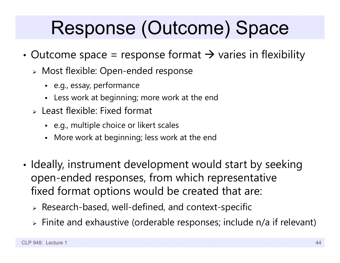#### Response (Outcome) Space

- •• Outcome space = response format  $\rightarrow$  varies in flexibility
	- Most flexible: Open-ended response
		- e.g., essay, performance
		- Less work at beginning; more work at the end
	- $\triangleright$  Least flexible: Fixed format
		- e.g., multiple choice or likert scales
		- Г More work at beginning; less work at the end
- • $\bm{\cdot}$  Ideally, instrument development would start by seeking open-ended responses, from which representative fixed format options would be created that are:
	- $\triangleright$  Research-based, well-defined, and context-specific
	- $\triangleright$  Finite and exhaustive (orderable responses; include n/a if relevant)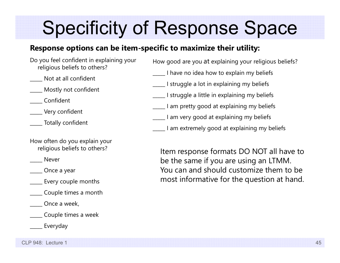#### Specificity of Response Space

#### **Response options can be item-specific to maximize their utility:**

- Do you feel confident in explaining your religious beliefs to others?
- \_\_\_\_\_ Not at all confident
- \_\_\_\_\_ Mostly not confident
- \_\_\_\_\_ Confident
- \_\_\_\_\_ Very confident
- \_\_\_\_\_ Totally confident
- How often do you explain your religious beliefs to others?
- \_\_\_\_\_ Never
- \_\_\_\_\_ Once a year
- \_\_\_\_\_ Every couple months
- \_\_\_\_\_ Couple times a month
- \_\_\_\_\_ Once a week,
- \_\_\_\_\_ Couple times a week
	- \_\_\_\_\_ Everyday

How good are you at explaining your religious beliefs?

- \_\_\_\_\_ I have no idea how to explain my beliefs
- \_\_\_\_\_ I struggle a lot in explaining my beliefs
- I struggle a little in explaining my beliefs
	- \_\_\_\_\_ I am pretty good at explaining my beliefs
- \_\_\_\_\_ I am very good at explaining my beliefs
- \_\_\_\_\_ I am extremely good at explaining my beliefs

Item response formats DO NOT all have to be the same if you are using an LTMM. You can and should customize them to be most informative for the question at hand.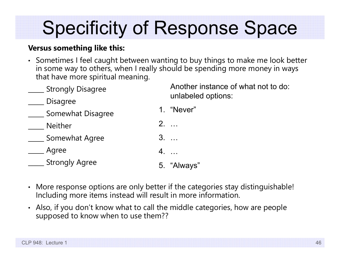# Specificity of Response Space

#### **Versus something like this:**

• Sometimes I feel caught between wanting to buy things to make me look better in some way to others, when I really should be spending more money in ways that have more spiritual meaning.

| <b>Strongly Disagree</b> | Another instance of what not to do:<br>unlabeled options: |
|--------------------------|-----------------------------------------------------------|
| <b>Disagree</b>          |                                                           |
| Somewhat Disagree        | 1. "Never"                                                |
| <b>Neither</b>           | $2. \ldots$                                               |
| Somewhat Agree           | $3. \dots$                                                |
| Agree                    | $4. \ldots$                                               |
| <b>Strongly Agree</b>    | 5. "Always"                                               |
|                          |                                                           |

- More response options are only better if the categories stay distinguishable! Including more items instead will result in more information.
- Also, if you don't know what to call the middle categories, how are people supposed to know when to use them??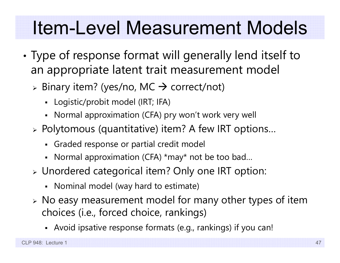#### Item-Level Measurement Models

- • Type of response format will generally lend itself to an appropriate latent trait measurement model
	- $\triangleright$  Binary item? (yes/no, MC  $\rightarrow$  correct/not)
		- Logistic/probit model (IRT; IFA)
		- Normal approximation (CFA) pry won't work very well
	- Polytomous (quantitative) item? A few IRT options…
		- Graded response or partial credit model
		- Normal approximation (CFA) \*may\* not be too bad…
	- Unordered categorical item? Only one IRT option:
		- Nominal model (way hard to estimate)
	- No easy measurement model for many other types of item choices (i.e., forced choice, rankings)
		- Avoid ipsative response formats (e.g., rankings) if you can!